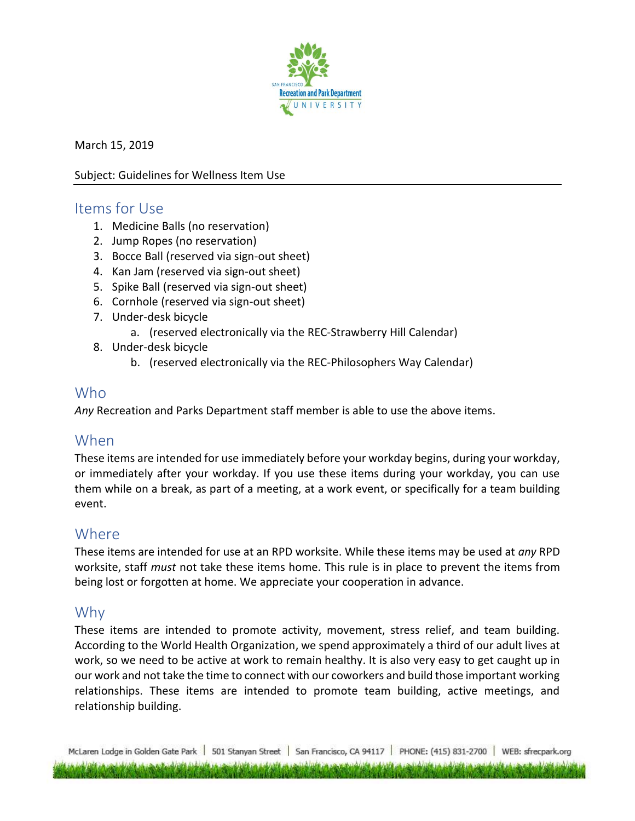

March 15, 2019

#### Subject: Guidelines for Wellness Item Use

### Items for Use

- 1. Medicine Balls (no reservation)
- 2. Jump Ropes (no reservation)
- 3. Bocce Ball (reserved via sign-out sheet)
- 4. Kan Jam (reserved via sign-out sheet)
- 5. Spike Ball (reserved via sign-out sheet)
- 6. Cornhole (reserved via sign-out sheet)
- 7. Under-desk bicycle
	- a. (reserved electronically via the REC-Strawberry Hill Calendar)
- 8. Under-desk bicycle
	- b. (reserved electronically via the REC-Philosophers Way Calendar)

## Who

*Any* Recreation and Parks Department staff member is able to use the above items.

# When

These items are intended for use immediately before your workday begins, during your workday, or immediately after your workday. If you use these items during your workday, you can use them while on a break, as part of a meeting, at a work event, or specifically for a team building event.

# **Where**

These items are intended for use at an RPD worksite. While these items may be used at *any* RPD worksite, staff *must* not take these items home. This rule is in place to prevent the items from being lost or forgotten at home. We appreciate your cooperation in advance.

## Why

These items are intended to promote activity, movement, stress relief, and team building. According to the World Health Organization, we spend approximately a third of our adult lives at work, so we need to be active at work to remain healthy. It is also very easy to get caught up in our work and not take the time to connect with our coworkers and build those important working relationships. These items are intended to promote team building, active meetings, and relationship building.